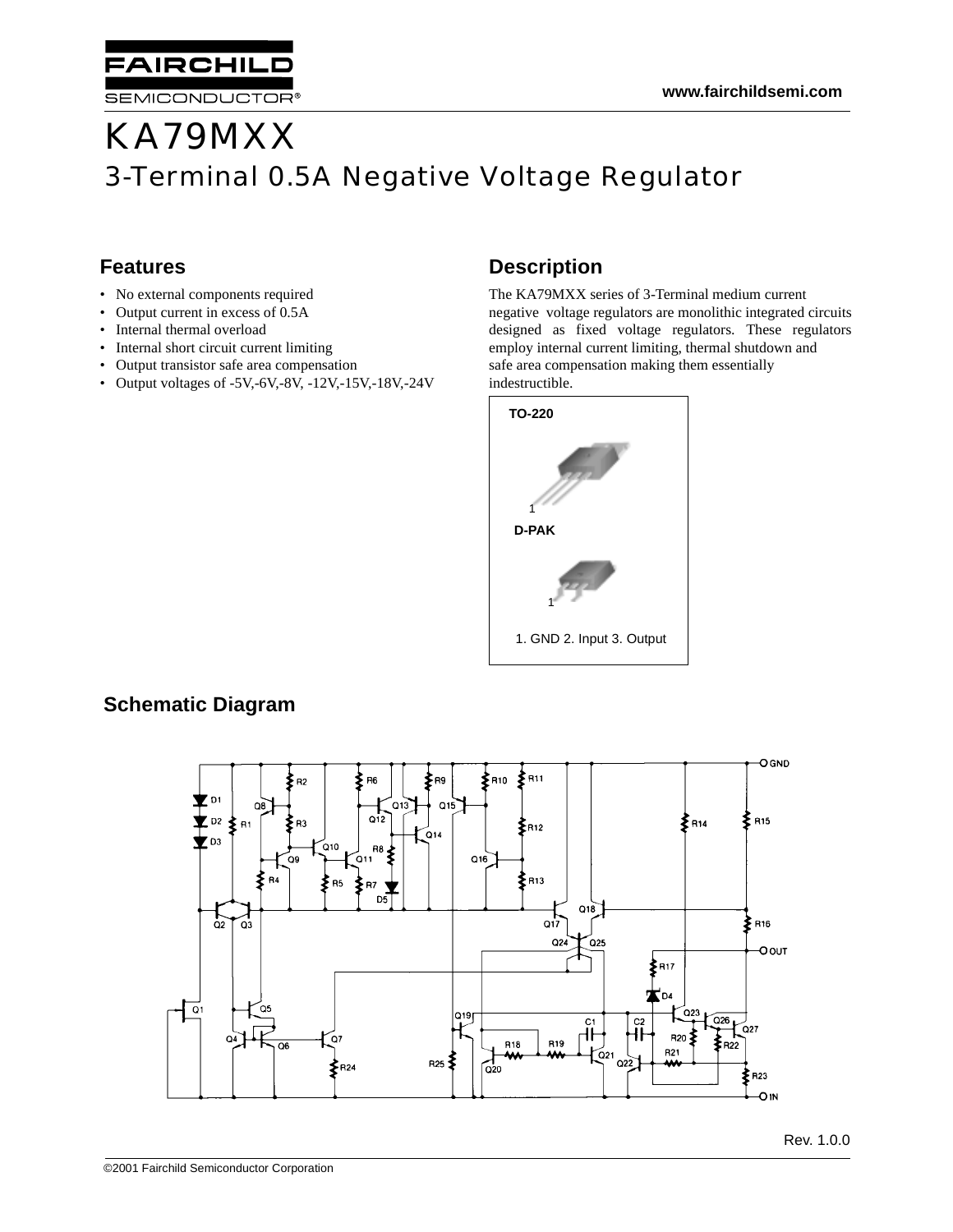# KA79MXX 3-Terminal 0.5A Negative Voltage Regulator

### **Features**

• No external components required

**AIRCHILD** 

SEMICONDUCTOR®

- Output current in excess of 0.5A
- Internal thermal overload
- Internal short circuit current limiting
- Output transistor safe area compensation
- Output voltages of -5V,-6V,-8V, -12V,-15V,-18V,-24V

### **Description**

The KA79MXX series of 3-Terminal medium current negative voltage regulators are monolithic integrated circuits designed as fixed voltage regulators. These regulators employ internal current limiting, thermal shutdown and safe area compensation making them essentially indestructible.



### **Schematic Diagram**

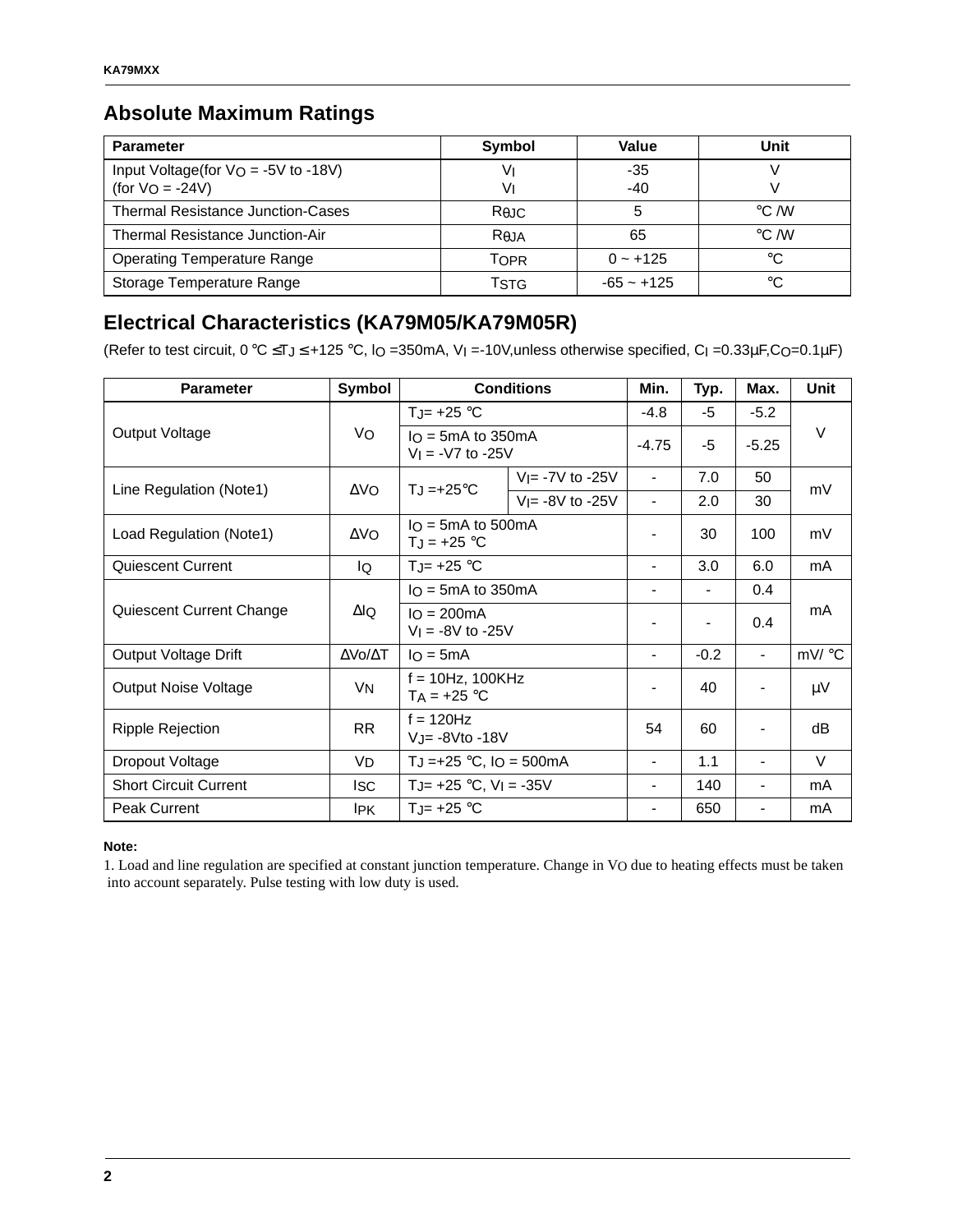### **Absolute Maximum Ratings**

| <b>Parameter</b>                                            | <b>Symbol</b>                 | Value        | Unit               |
|-------------------------------------------------------------|-------------------------------|--------------|--------------------|
| Input Voltage(for $V_O = -5V$ to -18V)<br>$(for VO = -24V)$ | V<br>V١                       | -35<br>$-40$ |                    |
| <b>Thermal Resistance Junction-Cases</b>                    | Rejc                          |              | $\rm ^{\circ}C$ /W |
| Thermal Resistance Junction-Air                             | R <sub>0</sub> J <sub>A</sub> | 65           | $\degree$ C /W     |
| <b>Operating Temperature Range</b>                          | Topr                          | $0 - +125$   | °C                 |
| Storage Temperature Range                                   | TstG                          | $-65 - +125$ | °€                 |

### **Electrical Characteristics (KA79M05/KA79M05R)**

(Refer to test circuit,  $0 °C \leq T_J \leq +125 °C$ ,  $\vert O$  =350mA,  $V_I$  =-10V, unless otherwise specified,  $C_I$  =0.33 $\mu$ F, CO=0.1 $\mu$ F)

| <b>Parameter</b>             | Symbol         | <b>Conditions</b>                                              |                     | Min.                     | Typ.           | Max.                         | Unit    |
|------------------------------|----------------|----------------------------------------------------------------|---------------------|--------------------------|----------------|------------------------------|---------|
|                              |                | TJ= $+25$ °C                                                   |                     | $-4.8$                   | -5             | $-5.2$                       |         |
| Output Voltage               | Vo             | $IO$ = 5mA to 350mA<br>$V_1 = -V7$ to $-25V$                   |                     | $-4.75$                  | -5             | $-5.25$                      | V       |
|                              | ΔVO.           |                                                                | $V = -7V$ to $-25V$ | $\blacksquare$           | 7.0            | 50                           | mV      |
| Line Regulation (Note1)      |                | $T_J = +25^{\circ}C$                                           | $V = -8V$ to $-25V$ | $\blacksquare$           | 2.0            | 30                           |         |
| Load Regulation (Note1)      | $\Delta$ VO    | $IO = 5mA$ to 500mA<br>$T_J = +25 °C$                          |                     |                          | 30             | 100                          | mV      |
| Quiescent Current            | IQ             | TJ= $+25$ °C                                                   |                     | $\blacksquare$           | 3.0            | 6.0                          | mA      |
|                              |                | $I_O = 5mA$ to 350 mA<br>$IO = 200mA$<br>$V_1 = -8V$ to $-25V$ |                     | $\blacksquare$           | $\blacksquare$ | $0.4^{\circ}$                | mA      |
| Quiescent Current Change     | ΔlQ            |                                                                |                     | $\blacksquare$           | $\overline{a}$ | 0.4                          |         |
| Output Voltage Drift         | ΔVο/ΔΤ         | $IQ = 5mA$                                                     |                     |                          | $-0.2$         | $\blacksquare$               | mV/°C   |
| <b>Output Noise Voltage</b>  | V <sub>N</sub> | $f = 10Hz$ , 100KHz<br>$TA = +25 °C$                           |                     | $\blacksquare$           | 40             |                              | $\mu$ V |
| <b>Ripple Rejection</b>      | <b>RR</b>      | $f = 120$ Hz<br>VJ= -8Vto -18V                                 |                     | 54                       | 60             | $\overline{\phantom{a}}$     | dB      |
| Dropout Voltage              | VD             | TJ = +25 $^{\circ}$ C, IO = 500mA                              |                     | $\blacksquare$           | 1.1            | $\overline{\phantom{0}}$     | $\vee$  |
| <b>Short Circuit Current</b> | <b>ISC</b>     | TJ= $+25$ °C, V <sub>I</sub> = $-35V$                          |                     | $\overline{\phantom{a}}$ | 140            | $\qquad \qquad \blacksquare$ | mA      |
| <b>Peak Current</b>          | <b>IPK</b>     | TJ= $+25$ °C                                                   |                     | $\blacksquare$           | 650            | $\qquad \qquad \blacksquare$ | mA      |

#### **Note:**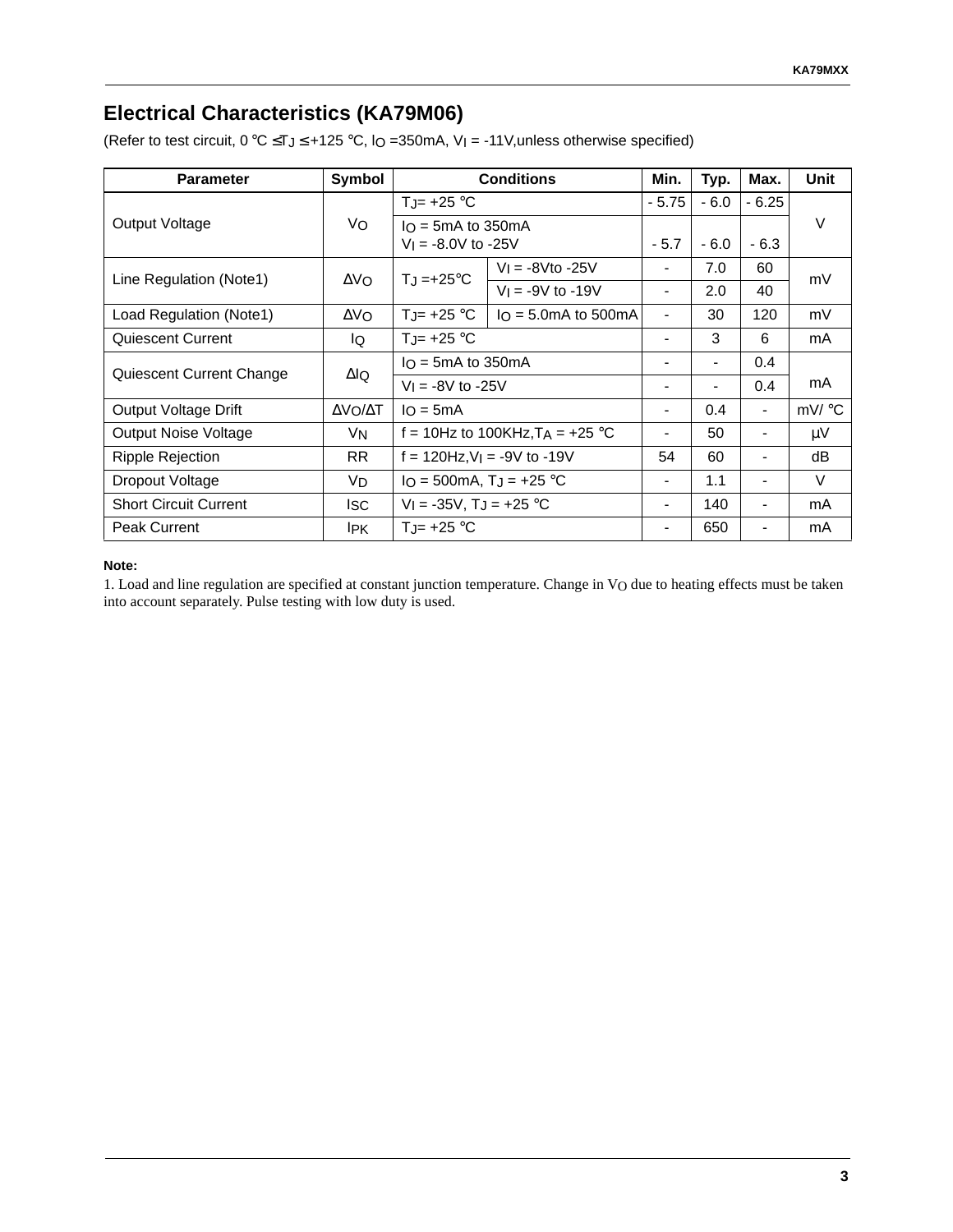### **Electrical Characteristics (KA79M06)**

(Refer to test circuit,  $0 °C \leq T_J \leq +125 °C$ ,  $IO = 350mA$ ,  $V_I = -11 V$ , unless otherwise specified)

| <b>Parameter</b>             | <b>Symbol</b> | <b>Conditions</b>                                |                                    | Min.                         | Typ.   | Max.           | Unit  |
|------------------------------|---------------|--------------------------------------------------|------------------------------------|------------------------------|--------|----------------|-------|
|                              |               | TJ= $+25$ °C                                     |                                    | $-5.75$                      | $-6.0$ | $-6.25$        |       |
| Output Voltage               | Vo            | $I_O = 5mA$ to 350 mA<br>$V_1 = -8.0V$ to $-25V$ |                                    | - 5.7                        | $-6.0$ | $-6.3$         | V     |
|                              | $\Delta V_O$  | $T_J = +25$ °C                                   | $V = -8V$ to -25V                  | $\overline{\phantom{a}}$     | 7.0    | 60             |       |
| Line Regulation (Note1)      |               |                                                  | $V_1 = -9V$ to -19V                | $\blacksquare$               | 2.0    | 40             | mV    |
| Load Regulation (Note1)      | $\Delta$ VO   | $T_{J}$ = +25 °C                                 | $I_O = 5.0mA$ to 500 mA            | $\qquad \qquad \blacksquare$ | 30     | 120            | mV    |
| Quiescent Current            | lQ.           | $T_{J}$ = +25 °C                                 |                                    | $\blacksquare$               | 3      | 6              | mA    |
| Quiescent Current Change     | ΔlQ           | $I_O = 5mA$ to 350 mA                            |                                    |                              |        | $0.4^{\circ}$  |       |
|                              |               | $V_1 = -8V$ to $-25V$                            |                                    | $\blacksquare$               |        | 0.4            | mA    |
| Output Voltage Drift         | ΔVΟ/ΔΤ        | $I_O = 5mA$                                      |                                    | $\blacksquare$               | 0.4    | $\blacksquare$ | mV/°C |
| <b>Output Noise Voltage</b>  | VN            |                                                  | f = 10Hz to 100KHz, $T_A$ = +25 °C |                              | 50     |                | μV    |
| Ripple Rejection             | RR.           | $f = 120$ Hz, $V = -9V$ to -19V                  |                                    | 54                           | 60     | $\blacksquare$ | dB    |
| Dropout Voltage              | VD            | $IO = 500mA, TJ = +25 °C$                        |                                    | $\blacksquare$               | 1.1    | $\blacksquare$ | V     |
| <b>Short Circuit Current</b> | lsc           | $V_1 = -35V$ , T <sub>J</sub> = $+25$ °C         |                                    | -                            | 140    |                | mA    |
| <b>Peak Current</b>          | IPK.          | $T_{\cdot} = +25$ °C                             |                                    | $\qquad \qquad \blacksquare$ | 650    |                | mA    |

#### **Note:**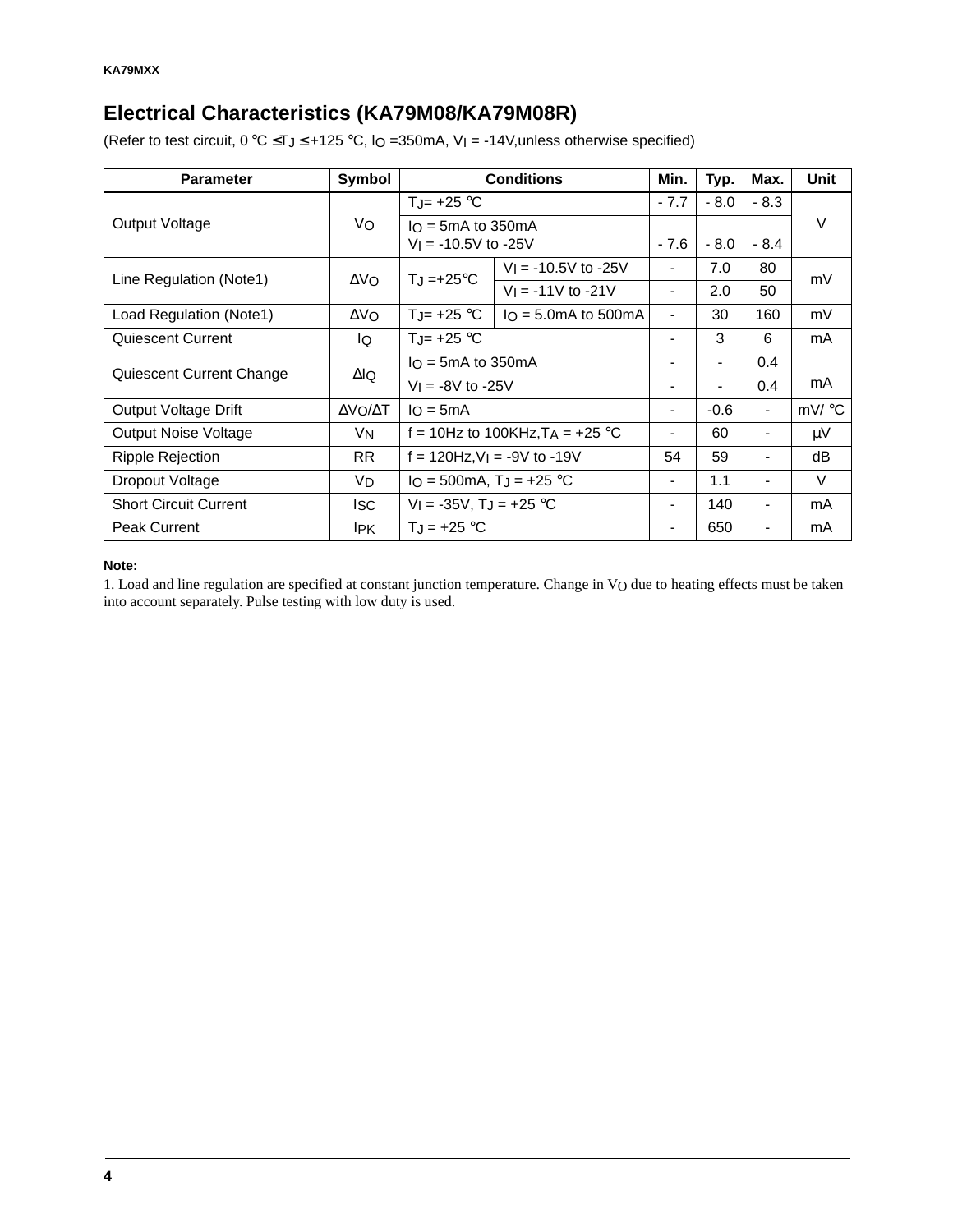# **Electrical Characteristics (KA79M08/KA79M08R)**

(Refer to test circuit,  $0 °C \leq T_J \leq +125 °C$ ,  $IO = 350mA$ ,  $V_I = -14V$ , unless otherwise specified)

| <b>Parameter</b>             | Symbol         | <b>Conditions</b>                            |                                    | Min.           | Typ.                     | Max.                     | Unit   |        |  |
|------------------------------|----------------|----------------------------------------------|------------------------------------|----------------|--------------------------|--------------------------|--------|--------|--|
|                              |                | TJ= $+25$ °C                                 |                                    |                |                          | $-7.7$                   | $-8.0$ | $-8.3$ |  |
| Output Voltage               | Vo             | $I_O = 5mA$ to 350 mA                        |                                    |                |                          |                          | V      |        |  |
|                              |                | $V_1 = -10.5V$ to $-25V$                     |                                    | $-7.6$         | $-8.0$                   | $-8.4$                   |        |        |  |
| Line Regulation (Note1)      | $\Delta$ VO    | $T_J = +25^{\circ}C$                         | $V_1 = -10.5V$ to $-25V$           | $\blacksquare$ | 7.0                      | 80                       | mV     |        |  |
|                              |                |                                              | $V_1 = -11V$ to $-21V$             |                | 2.0                      | 50                       |        |        |  |
| Load Regulation (Note1)      | $\Delta$ VO    | $T_{J}$ = +25 °C                             | $I_O = 5.0 \text{mA}$ to 500 mA    | $\blacksquare$ | 30                       | 160                      | mV     |        |  |
| Quiescent Current            | lQ.            | $T_{J}$ = +25 °C                             |                                    | $\blacksquare$ | 3                        | 6                        | mA     |        |  |
| Quiescent Current Change     | $\Delta$ lQ    | $I_O = 5mA$ to 350 mA                        |                                    |                | $\blacksquare$           | 0.4                      |        |        |  |
|                              |                | $V_1 = -8V$ to $-25V$                        |                                    |                | $\overline{\phantom{a}}$ | 0.4                      | mA     |        |  |
| Output Voltage Drift         | ΔVΟ/ΔΤ         | $I_O = 5mA$                                  |                                    | $\blacksquare$ | $-0.6$                   | $\overline{\phantom{a}}$ | mV/ °C |        |  |
| <b>Output Noise Voltage</b>  | V <sub>N</sub> |                                              | f = 10Hz to 100KHz, $T_A$ = +25 °C |                | 60                       | $\blacksquare$           | μV     |        |  |
| Ripple Rejection             | <b>RR</b>      | $f = 120$ Hz, $V$ <sub>I</sub> = -9V to -19V |                                    | 54             | 59                       | $\blacksquare$           | dB     |        |  |
| Dropout Voltage              | VD.            | $IO = 500mA, TJ = +25 °C$                    |                                    | $\blacksquare$ | 1.1                      | $\overline{\phantom{a}}$ | $\vee$ |        |  |
| <b>Short Circuit Current</b> | lsc.           | $V_1 = -35V$ , T <sub>J</sub> = +25 °C       |                                    |                | 140                      | $\blacksquare$           | mA     |        |  |
| <b>Peak Current</b>          | <b>IPK</b>     | $T_{J}$ = +25 °C                             |                                    |                | 650                      |                          | mA     |        |  |

#### **Note:**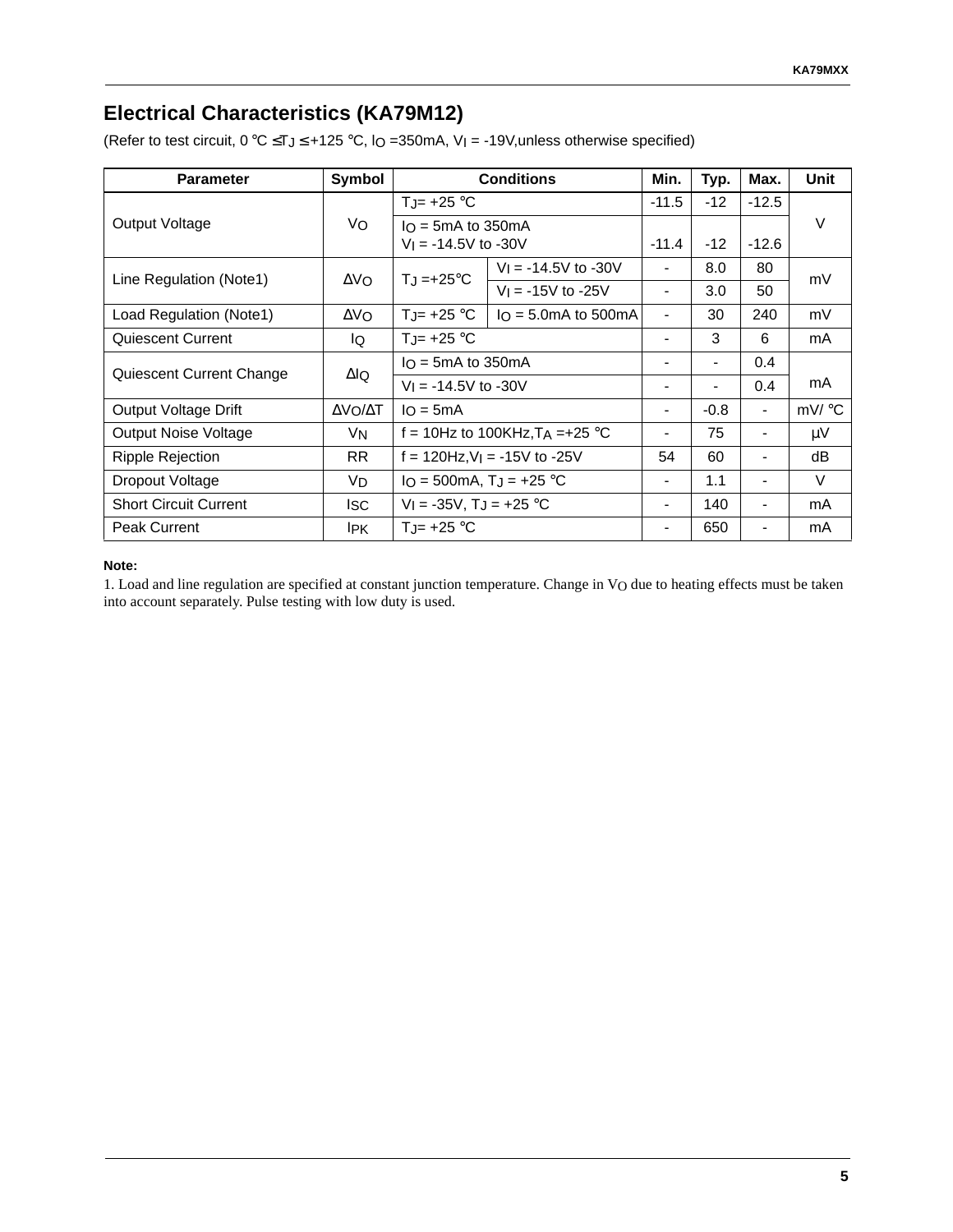## **Electrical Characteristics (KA79M12)**

(Refer to test circuit,  $0 °C \leq T_J \leq +125 °C$ ,  $IO = 350mA$ ,  $V_I = -19V$ , unless otherwise specified)

| <b>Parameter</b>             | <b>Symbol</b> | <b>Conditions</b>                             |                                   | Min.                         | Typ.   | Max.           | Unit  |               |  |
|------------------------------|---------------|-----------------------------------------------|-----------------------------------|------------------------------|--------|----------------|-------|---------------|--|
|                              |               | TJ= $+25$ °C                                  |                                   | $-11.5$                      | $-12$  | $-12.5$        |       |               |  |
| Output Voltage               | Vo            | $I_O = 5mA$ to 350 mA                         |                                   |                              | $-12$  |                | V     |               |  |
|                              |               | $V_1 = -14.5V$ to $-30V$                      |                                   | $-11.4$                      |        | $-12.6$        |       |               |  |
| Line Regulation (Note1)      | $\Delta V_O$  | $T_J = +25$ °C                                | $V_1 = -14.5V$ to $-30V$          | $\overline{\phantom{a}}$     | 8.0    | 80             | mV    |               |  |
|                              |               |                                               | $V_1 = -15V$ to $-25V$            | $\blacksquare$               | 3.0    | 50             |       |               |  |
| Load Regulation (Note1)      | $\Delta$ VO   | $T_{\rm J}$ = +25 °C                          | $I_O = 5.0mA$ to 500 mA           | $\overline{\phantom{a}}$     | 30     | 240            | mV    |               |  |
| Quiescent Current            | lQ.           | $T_{J}$ = +25 °C                              |                                   | $\blacksquare$               | 3      | 6              | mA    |               |  |
|                              |               | $I_O = 5mA$ to 350 mA                         |                                   |                              |        |                |       | $0.4^{\circ}$ |  |
| Quiescent Current Change     | ΔlQ           | $V_1 = -14.5V$ to $-30V$                      |                                   | $\blacksquare$               |        | 0.4            | mA    |               |  |
| Output Voltage Drift         | ΔVΟ/ΔΤ        | $I_O = 5mA$                                   |                                   | $\blacksquare$               | $-0.8$ | $\blacksquare$ | mV/°C |               |  |
| <b>Output Noise Voltage</b>  | VN            |                                               | f = 10Hz to 100KHz, $TA = +25$ °C |                              | 75     |                | μV    |               |  |
| Ripple Rejection             | RR.           | $f = 120$ Hz, $V$ <sub>I</sub> = -15V to -25V |                                   | 54                           | 60     | $\blacksquare$ | dB    |               |  |
| Dropout Voltage              | VD            | $IO = 500mA, TJ = +25 °C$                     |                                   | $\blacksquare$               | 1.1    | $\blacksquare$ | V     |               |  |
| <b>Short Circuit Current</b> | lsc           | $V_1 = -35V$ , T <sub>J</sub> = $+25$ °C      |                                   | -                            | 140    |                | mA    |               |  |
| <b>Peak Current</b>          | IPK.          | $T_{\cdot} = +25$ °C                          |                                   | $\qquad \qquad \blacksquare$ | 650    |                | mA    |               |  |

#### **Note:**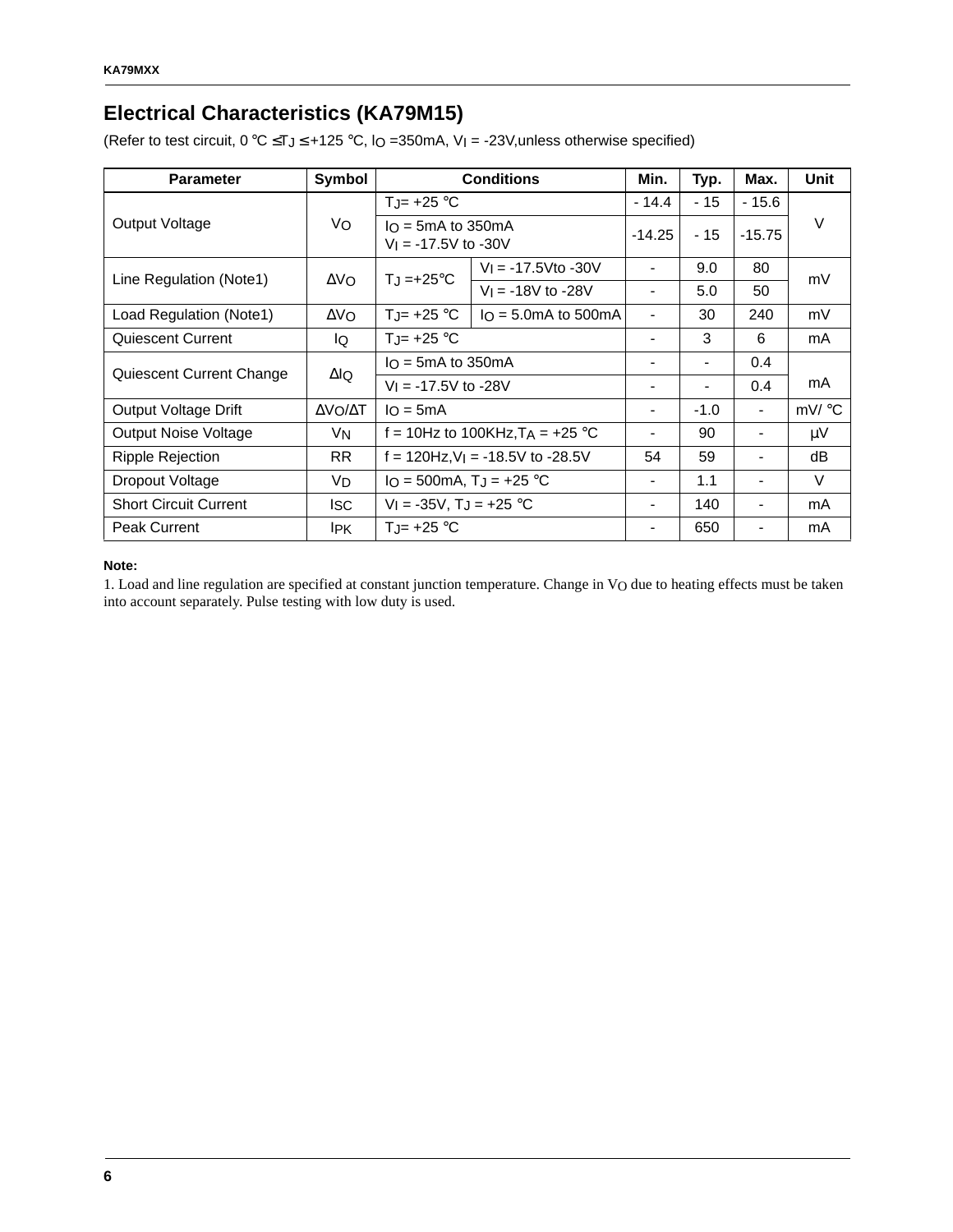# **Electrical Characteristics (KA79M15)**

(Refer to test circuit,  $0 °C \leq T_J \leq +125 °C$ ,  $IO = 350mA$ ,  $V_I = -23V$ , unless otherwise specified)

| <b>Parameter</b>             | Symbol         |                                                   | <b>Conditions</b>                 | Min.                         | Typ.                     | Max.           | Unit    |
|------------------------------|----------------|---------------------------------------------------|-----------------------------------|------------------------------|--------------------------|----------------|---------|
|                              |                | $T_{J}$ = +25 °C                                  |                                   | $-14.4$                      | $-15$                    | $-15.6$        |         |
| Output Voltage               | Vo             | $I_O = 5mA$ to 350 mA<br>$V_1 = -17.5V$ to $-30V$ |                                   | $-14.25$                     | $-15$                    | $-15.75$       | V       |
| Line Regulation (Note1)      | $\Delta V_O$   | $T_J = +25^{\circ}C$                              | $V_1 = -17.5V$ to -30V            | $\blacksquare$               | 9.0                      | 80             | mV      |
|                              |                |                                                   | $V_1 = -18V$ to -28V              |                              | 5.0                      | 50             |         |
| Load Regulation (Note1)      | $\Delta$ VO    | $T_{J}$ = +25 °C                                  | $I_O = 5.0mA$ to 500mA            |                              | 30                       | 240            | mV      |
| Quiescent Current            | lo.            | $T_{J}$ = +25 °C                                  |                                   | $\overline{\phantom{a}}$     | 3                        | 6              | mA      |
|                              |                | $I_O = 5mA$ to 350 mA                             |                                   |                              |                          | 0.4            |         |
| Quiescent Current Change     | $\Delta$ lQ    | $V_1 = -17.5V$ to $-28V$                          |                                   | $\qquad \qquad \blacksquare$ | $\overline{\phantom{a}}$ | 0.4            | mA      |
| Output Voltage Drift         | ΔVΟ/ΔΤ         | $I \cap = 5mA$                                    |                                   | $\overline{\phantom{a}}$     | $-1.0$                   | $\blacksquare$ | mV/°C   |
| Output Noise Voltage         | V <sub>N</sub> |                                                   | f = 10Hz to 100KHz, $TA = +25$ °C |                              | 90                       |                | $\mu$ V |
| Ripple Rejection             | RR.            | $f = 120$ Hz, V <sub>I</sub> = -18.5V to -28.5V   |                                   | 54                           | 59                       |                | dB      |
| Dropout Voltage              | V <sub>D</sub> | $IO = 500mA, TJ = +25 °C$                         |                                   | $\qquad \qquad \blacksquare$ | 1.1                      |                | V       |
| <b>Short Circuit Current</b> | <b>I</b> SC    | $V_1 = -35V$ , T <sub>J</sub> = +25 °C            |                                   |                              | 140                      |                | mA      |
| <b>Peak Current</b>          | <b>IPK</b>     | $T_{J}$ = +25 °C                                  |                                   |                              | 650                      |                | mA      |

#### **Note:**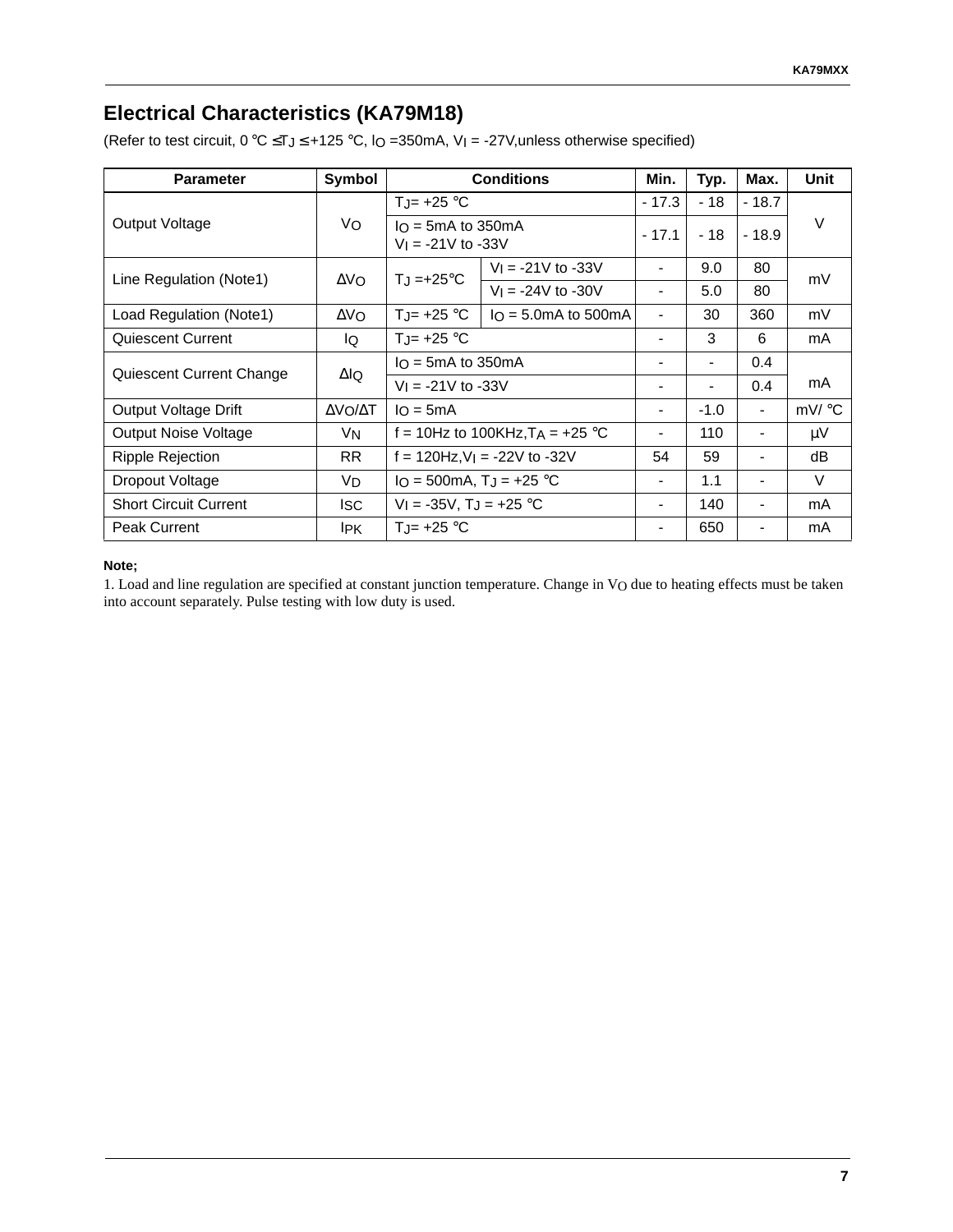### **Electrical Characteristics (KA79M18)**

(Refer to test circuit,  $0 °C \leq T_J \leq +125 °C$ ,  $IO = 350mA$ ,  $V_I = -27V$ , unless otherwise specified)

| <b>Parameter</b>             | Symbol         | <b>Conditions</b>                      |                                                            | Min.                     | Typ.   | Max.                     | <b>Unit</b> |         |  |
|------------------------------|----------------|----------------------------------------|------------------------------------------------------------|--------------------------|--------|--------------------------|-------------|---------|--|
|                              |                | TJ= $+25$ °C                           |                                                            |                          |        | $-17.3$                  | $-18$       | $-18.7$ |  |
| Output Voltage               | Vo             |                                        | $I_O = 5mA$ to 350 mA<br>$-17.1$<br>$V_1 = -21V$ to $-33V$ |                          | $-18$  | $-18.9$                  | V           |         |  |
| Line Regulation (Note1)      | $\Delta$ Vo    |                                        | $VI = -21V$ to $-33V$                                      | $\blacksquare$           | 9.0    | 80                       | mV          |         |  |
|                              |                | $T_J = +25$ °C                         | $V_1 = -24V$ to $-30V$                                     | $\blacksquare$           | 5.0    | 80                       |             |         |  |
| Load Regulation (Note1)      | $\Delta$ VO    | T.I= $+25$ °C                          | $I_O = 5.0 \text{mA}$ to 500 mA                            | $\blacksquare$           | 30     | 360                      | mV          |         |  |
| Quiescent Current            | lQ.            | TJ= $+25$ °C                           |                                                            | $\blacksquare$           | 3      | 6                        | mA          |         |  |
|                              |                | $I_O = 5mA$ to 350 mA                  |                                                            |                          |        | 0.4                      |             |         |  |
| Quiescent Current Change     | $\Delta$ lQ    | $V_1 = -21V$ to $-33V$                 |                                                            |                          |        | 0.4                      | mA          |         |  |
| Output Voltage Drift         | ΔVΟ/ΔΤ         | $I_O = 5mA$                            |                                                            | $\overline{\phantom{a}}$ | $-1.0$ | $\overline{\phantom{a}}$ | mV/ °C      |         |  |
| <b>Output Noise Voltage</b>  | V <sub>N</sub> |                                        | f = 10Hz to 100KHz, $T_A$ = +25 °C                         | $\overline{\phantom{a}}$ | 110    |                          | μV          |         |  |
| <b>Ripple Rejection</b>      | <b>RR</b>      | $f = 120$ Hz, $V_1 = -22V$ to $-32V$   |                                                            | 54                       | 59     |                          | dB          |         |  |
| Dropout Voltage              | VD.            | $IO = 500mA, TJ = +25 °C$              |                                                            | $\overline{\phantom{a}}$ | 1.1    |                          | $\vee$      |         |  |
| <b>Short Circuit Current</b> | Isc.           | $V_1 = -35V$ , T <sub>J</sub> = +25 °C |                                                            | $\overline{\phantom{a}}$ | 140    |                          | mA          |         |  |
| <b>Peak Current</b>          | IPK.           | TJ= $+25$ °C                           |                                                            | -                        | 650    |                          | mA          |         |  |

#### **Note;**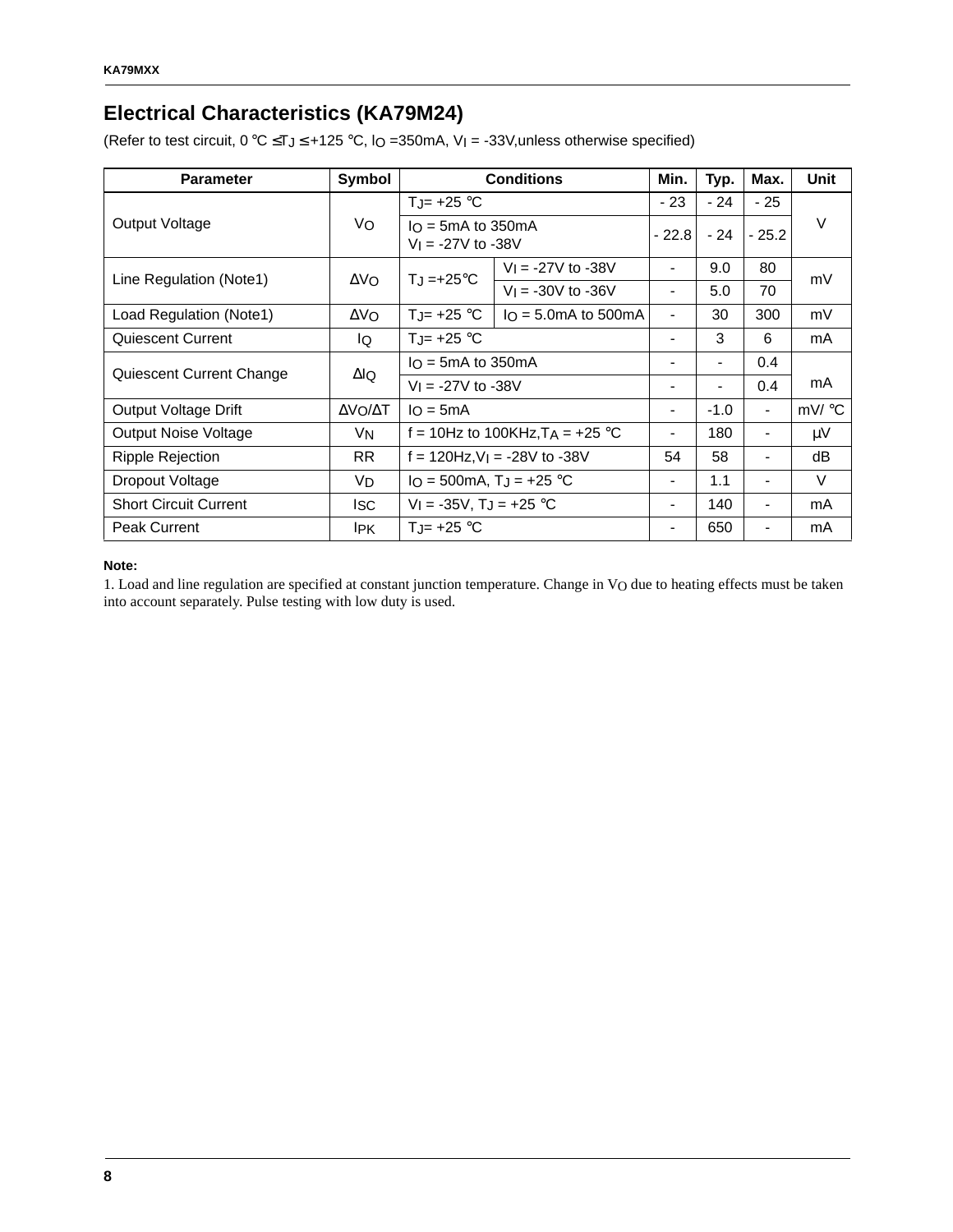## **Electrical Characteristics (KA79M24)**

(Refer to test circuit,  $0 °C \leq T_J \leq +125 °C$ ,  $IO = 350mA$ ,  $V_I = -33V$ , unless otherwise specified)

| <b>Parameter</b>             | Symbol       | <b>Conditions</b>                               |                                    | Min.                     | Typ.           | Max.                     | Unit  |
|------------------------------|--------------|-------------------------------------------------|------------------------------------|--------------------------|----------------|--------------------------|-------|
|                              |              | TJ= $+25$ °C                                    |                                    | $-23$                    | $-24$          | - 25                     |       |
| Output Voltage               | Vo           | $I_O = 5mA$ to 350 mA<br>$V_1 = -27V$ to $-38V$ |                                    | $-22.8$                  | $-24$          | $-25.2$                  | V     |
| Line Regulation (Note1)      | $\Delta V_O$ | $T_{\rm J}$ =+25°C                              | $V_1 = -27V$ to $-38V$             | $\blacksquare$           | 9.0            | 80                       | mV    |
|                              |              |                                                 | $V_1 = -30V$ to $-36V$             | $\blacksquare$           | 5.0            | 70                       |       |
| Load Regulation (Note1)      | $\Delta$ VO  | $T_{\cdot}$ = +25 °C                            | $I_O = 5.0mA$ to 500mA             | $\overline{\phantom{0}}$ | 30             | 300                      | mV    |
| Quiescent Current            | IQ.          | $T_{J}$ = +25 °C                                |                                    | $\blacksquare$           | 3              | 6                        | mA    |
|                              |              | $I_O = 5mA$ to 350 mA                           |                                    |                          | $\blacksquare$ | 0.4                      |       |
| Quiescent Current Change     | ΔlQ          | $V_1 = -27V$ to $-38V$                          |                                    |                          | $\blacksquare$ | 0.4                      | mA    |
| Output Voltage Drift         | ΔVΟ/ΔΤ       | $I_O = 5mA$                                     |                                    | $\overline{\phantom{0}}$ | $-1.0$         | $\overline{\phantom{a}}$ | mV/°C |
| <b>Output Noise Voltage</b>  | VN           |                                                 | f = 10Hz to 100KHz, $T_A$ = +25 °C |                          | 180            | $\overline{\phantom{0}}$ | μV    |
| Ripple Rejection             | <b>RR</b>    | $f = 120$ Hz, $V = -28V$ to $-38V$              |                                    | 54                       | 58             | $\blacksquare$           | dВ    |
| Dropout Voltage              | VD           | $IO = 500mA, TJ = +25 °C$                       |                                    | $\blacksquare$           | 1.1            | $\overline{\phantom{a}}$ | V     |
| <b>Short Circuit Current</b> | lsc.         | $V_1 = -35V$ , T <sub>J</sub> = +25 °C          |                                    |                          | 140            | -                        | mA    |
| <b>Peak Current</b>          | IPK.         | $T_{J}$ = +25 °C                                |                                    |                          | 650            |                          | mA    |

#### **Note:**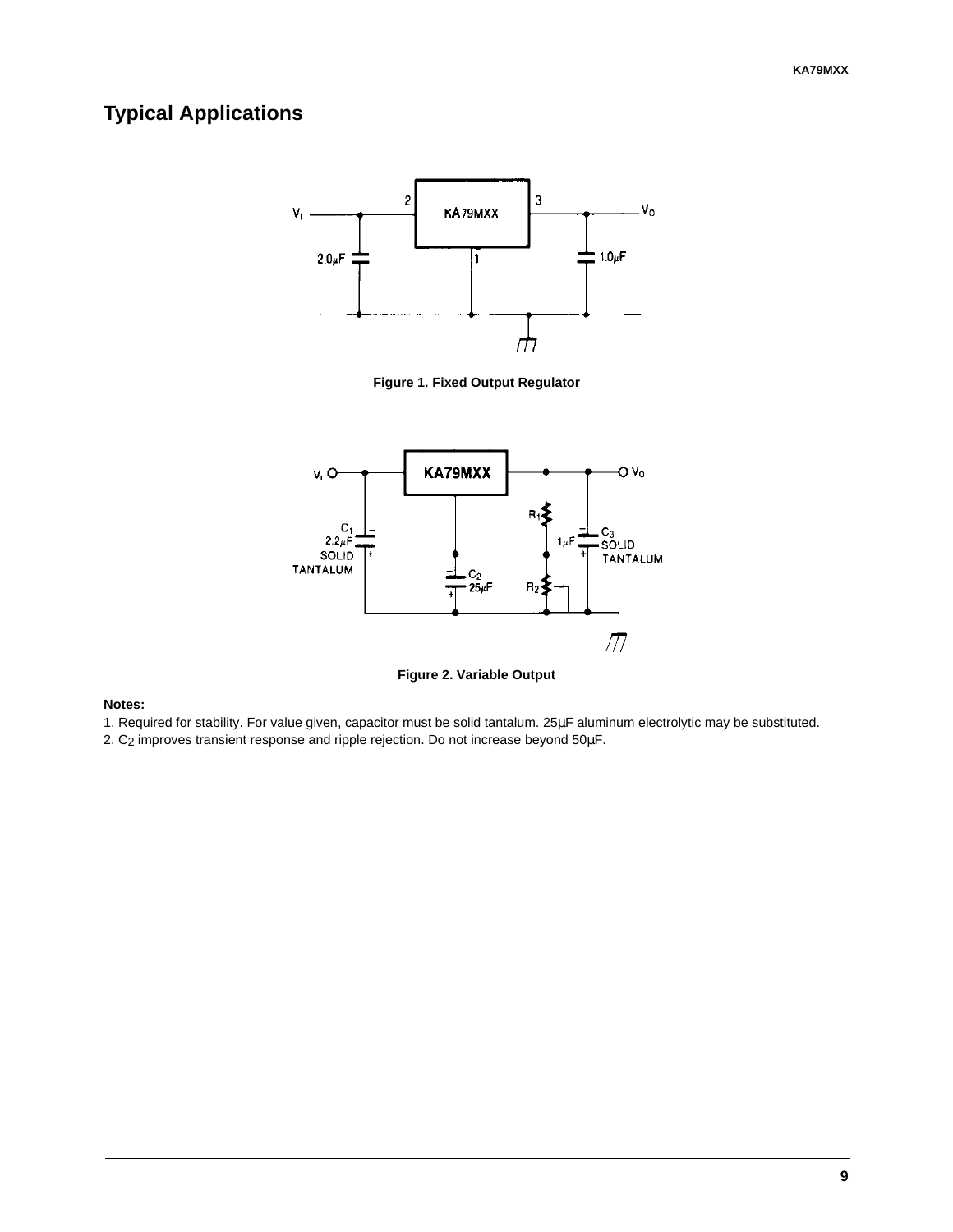### **Typical Applications**



**Figure 1. Fixed Output Regulator**



**Figure 2. Variable Output**

**Notes:**

- 1. Required for stability. For value given, capacitor must be solid tantalum. 25µF aluminum electrolytic may be substituted.
- 2. C2 improves transient response and ripple rejection. Do not increase beyond 50µF.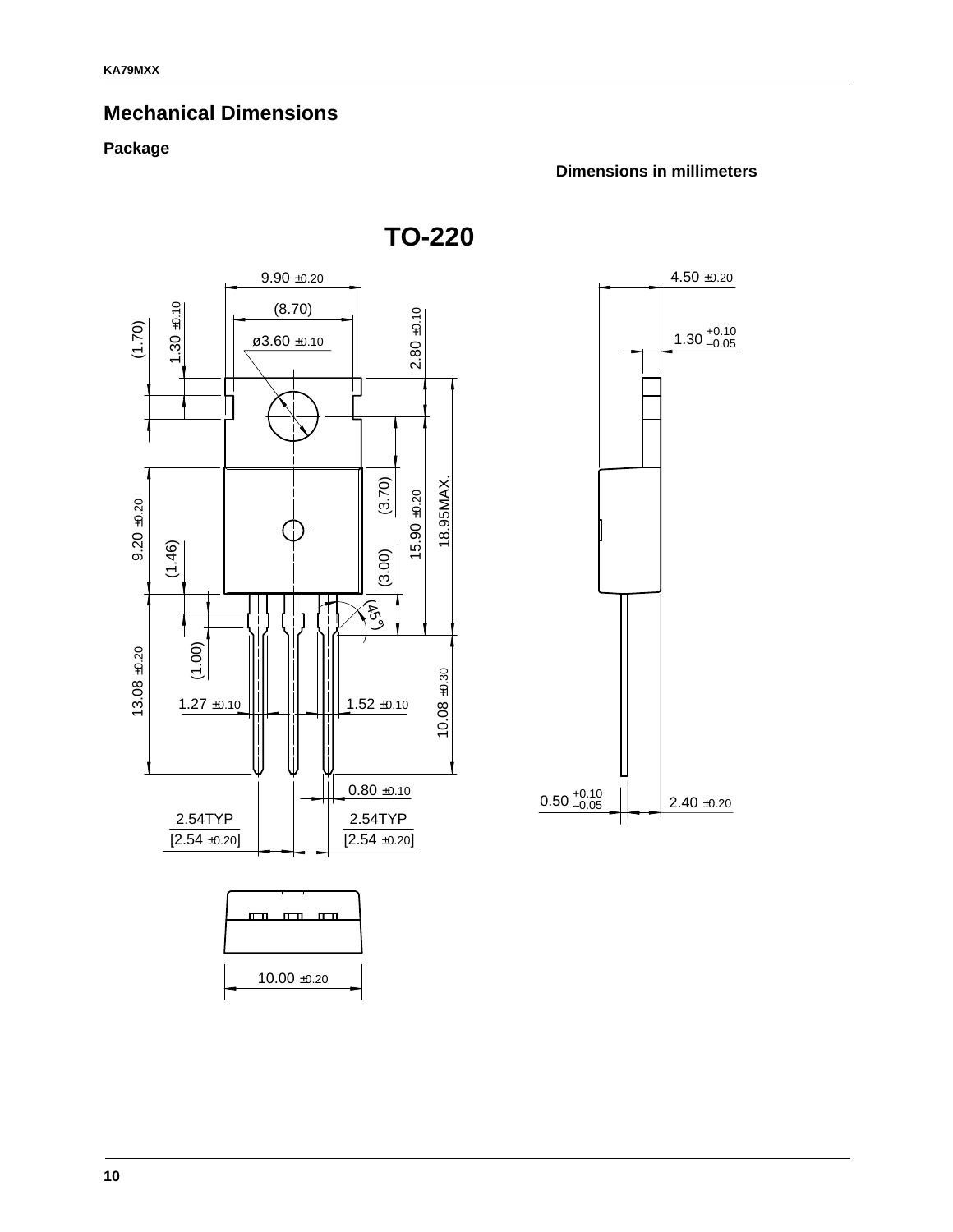### **Mechanical Dimensions**

#### **Package**

#### **Dimensions in millimeters**

**TO-220**

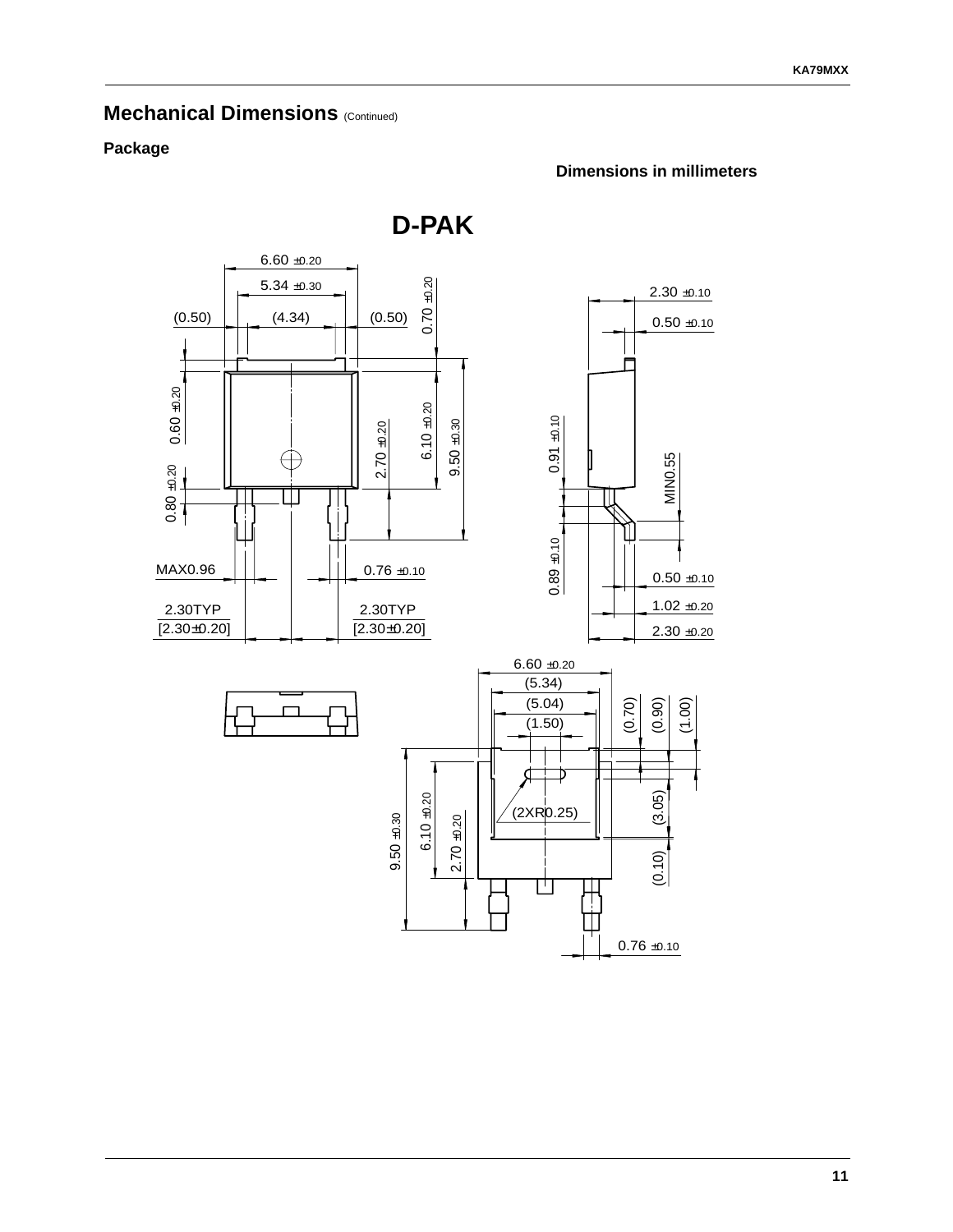#### **Mechanical Dimensions (Continued)**

#### **Package**



**Dimensions in millimeters**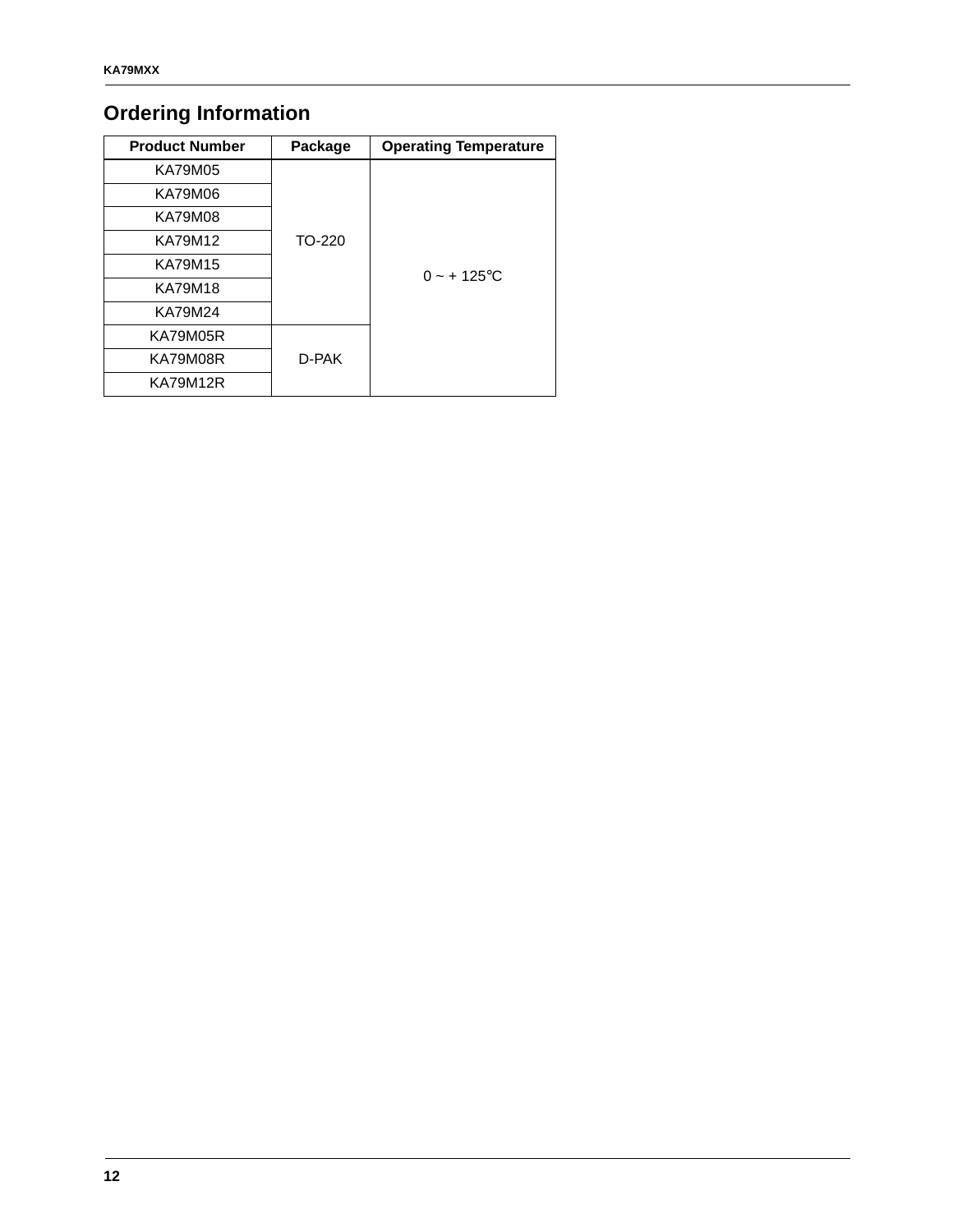# **Ordering Information**

| <b>Product Number</b> | Package | <b>Operating Temperature</b> |
|-----------------------|---------|------------------------------|
| KA79M05               |         |                              |
| KA79M06               |         |                              |
| KA79M08               |         |                              |
| KA79M12               | TO-220  |                              |
| KA79M15               |         | $0 - + 125$ °C               |
| <b>KA79M18</b>        |         |                              |
| KA79M24               |         |                              |
| <b>KA79M05R</b>       |         |                              |
| KA79M08R              | D-PAK   |                              |
| KA79M12R              |         |                              |